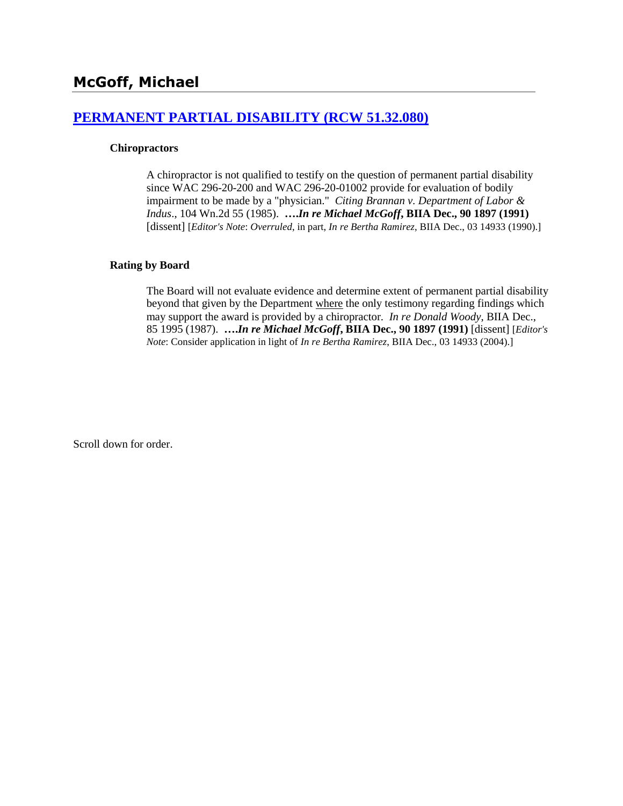# **[PERMANENT PARTIAL DISABILITY \(RCW 51.32.080\)](http://www.biia.wa.gov/SDSubjectIndex.html#PERMANENT_PARTIAL_DISABILITY)**

#### **Chiropractors**

A chiropractor is not qualified to testify on the question of permanent partial disability since WAC 296-20-200 and WAC 296-20-01002 provide for evaluation of bodily impairment to be made by a "physician." *Citing Brannan v. Department of Labor & Indus*., 104 Wn.2d 55 (1985). **….***In re Michael McGoff***, BIIA Dec., 90 1897 (1991)** [dissent] [*Editor's Note*: *Overruled*, in part, *In re Bertha Ramirez*, BIIA Dec., 03 14933 (1990).]

#### **Rating by Board**

The Board will not evaluate evidence and determine extent of permanent partial disability beyond that given by the Department where the only testimony regarding findings which may support the award is provided by a chiropractor. *In re Donald Woody*, BIIA Dec., [85 1995](http://www.biia.wa.gov/significantdecisions/851995.htm) (1987). **….***In re Michael McGoff***, BIIA Dec., 90 1897 (1991)** [dissent] [*Editor's Note*: Consider application in light of *In re Bertha Ramirez*, BIIA Dec., 03 14933 (2004).]

Scroll down for order.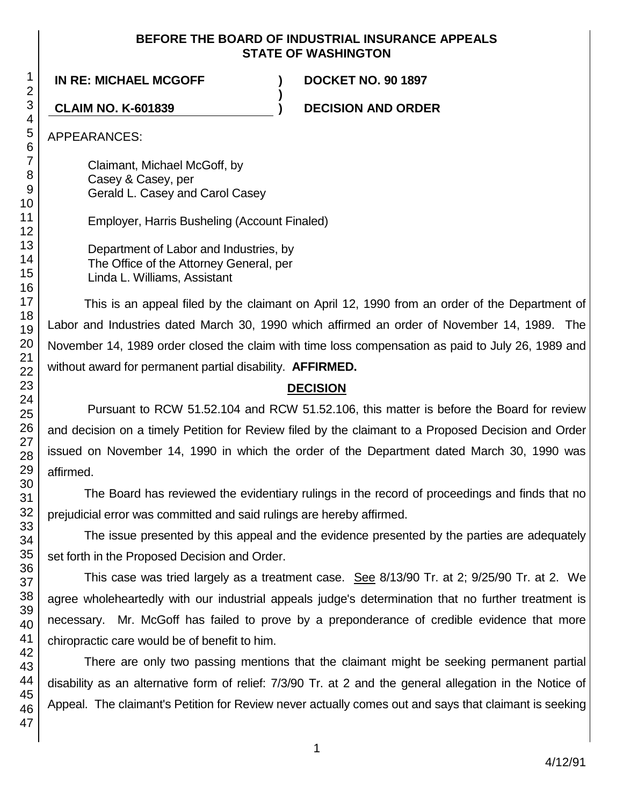# **BEFORE THE BOARD OF INDUSTRIAL INSURANCE APPEALS STATE OF WASHINGTON**

**)**

**IN RE: MICHAEL MCGOFF ) DOCKET NO. 90 1897**

**CLAIM NO. K-601839 ) DECISION AND ORDER**

APPEARANCES:

Claimant, Michael McGoff, by Casey & Casey, per Gerald L. Casey and Carol Casey

Employer, Harris Busheling (Account Finaled)

Department of Labor and Industries, by The Office of the Attorney General, per Linda L. Williams, Assistant

This is an appeal filed by the claimant on April 12, 1990 from an order of the Department of Labor and Industries dated March 30, 1990 which affirmed an order of November 14, 1989. The November 14, 1989 order closed the claim with time loss compensation as paid to July 26, 1989 and without award for permanent partial disability. **AFFIRMED.**

# **DECISION**

Pursuant to RCW 51.52.104 and RCW 51.52.106, this matter is before the Board for review and decision on a timely Petition for Review filed by the claimant to a Proposed Decision and Order issued on November 14, 1990 in which the order of the Department dated March 30, 1990 was affirmed.

The Board has reviewed the evidentiary rulings in the record of proceedings and finds that no prejudicial error was committed and said rulings are hereby affirmed.

The issue presented by this appeal and the evidence presented by the parties are adequately set forth in the Proposed Decision and Order.

This case was tried largely as a treatment case. See 8/13/90 Tr. at 2; 9/25/90 Tr. at 2. We agree wholeheartedly with our industrial appeals judge's determination that no further treatment is necessary. Mr. McGoff has failed to prove by a preponderance of credible evidence that more chiropractic care would be of benefit to him.

There are only two passing mentions that the claimant might be seeking permanent partial disability as an alternative form of relief: 7/3/90 Tr. at 2 and the general allegation in the Notice of Appeal. The claimant's Petition for Review never actually comes out and says that claimant is seeking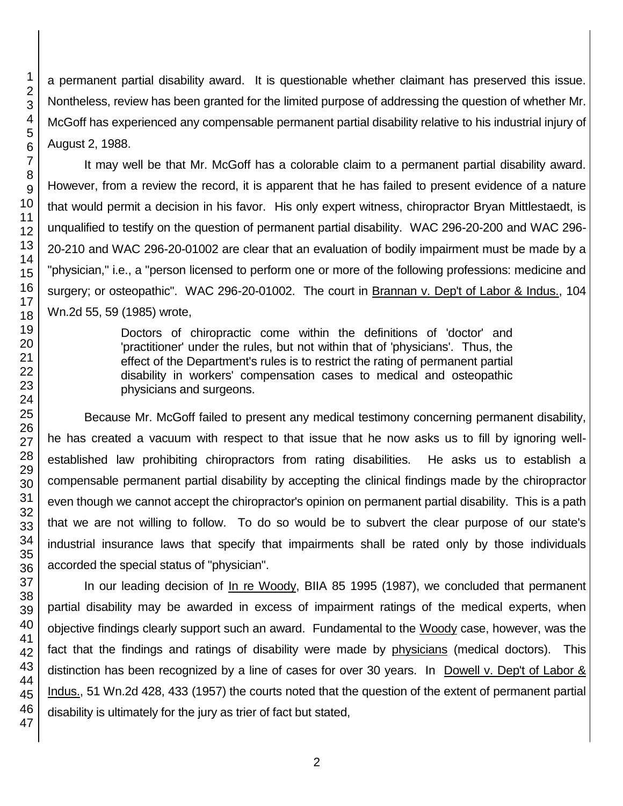a permanent partial disability award. It is questionable whether claimant has preserved this issue. Nontheless, review has been granted for the limited purpose of addressing the question of whether Mr. McGoff has experienced any compensable permanent partial disability relative to his industrial injury of August 2, 1988.

It may well be that Mr. McGoff has a colorable claim to a permanent partial disability award. However, from a review the record, it is apparent that he has failed to present evidence of a nature that would permit a decision in his favor. His only expert witness, chiropractor Bryan Mittlestaedt, is unqualified to testify on the question of permanent partial disability. WAC 296-20-200 and WAC 296- 20-210 and WAC 296-20-01002 are clear that an evaluation of bodily impairment must be made by a "physician," i.e., a "person licensed to perform one or more of the following professions: medicine and surgery; or osteopathic". WAC 296-20-01002. The court in Brannan v. Dep't of Labor & Indus., 104 Wn.2d 55, 59 (1985) wrote,

> Doctors of chiropractic come within the definitions of 'doctor' and 'practitioner' under the rules, but not within that of 'physicians'. Thus, the effect of the Department's rules is to restrict the rating of permanent partial disability in workers' compensation cases to medical and osteopathic physicians and surgeons.

Because Mr. McGoff failed to present any medical testimony concerning permanent disability, he has created a vacuum with respect to that issue that he now asks us to fill by ignoring wellestablished law prohibiting chiropractors from rating disabilities. He asks us to establish a compensable permanent partial disability by accepting the clinical findings made by the chiropractor even though we cannot accept the chiropractor's opinion on permanent partial disability. This is a path that we are not willing to follow. To do so would be to subvert the clear purpose of our state's industrial insurance laws that specify that impairments shall be rated only by those individuals accorded the special status of "physician".

In our leading decision of In re Woody, BIIA 85 1995 (1987), we concluded that permanent partial disability may be awarded in excess of impairment ratings of the medical experts, when objective findings clearly support such an award. Fundamental to the Woody case, however, was the fact that the findings and ratings of disability were made by physicians (medical doctors). This distinction has been recognized by a line of cases for over 30 years. In Dowell v. Dep't of Labor & Indus., 51 Wn.2d 428, 433 (1957) the courts noted that the question of the extent of permanent partial disability is ultimately for the jury as trier of fact but stated,

1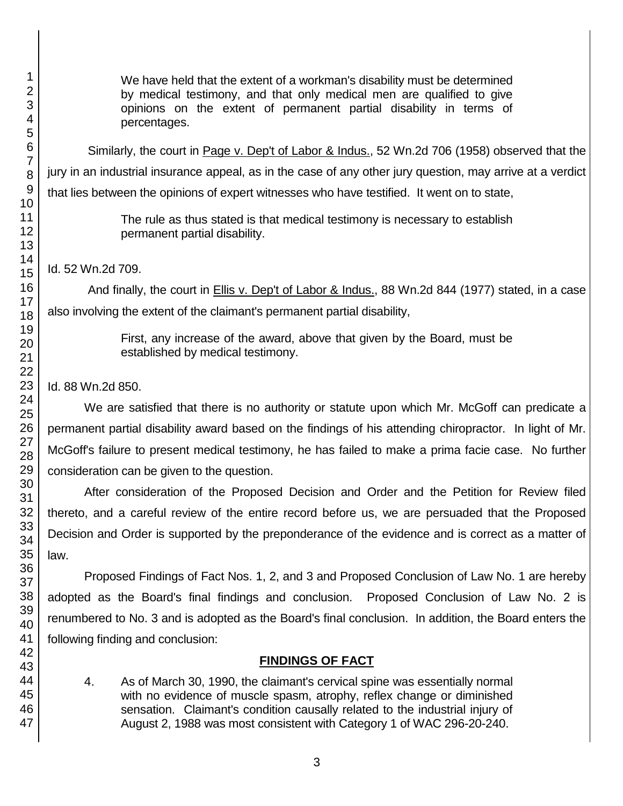We have held that the extent of a workman's disability must be determined by medical testimony, and that only medical men are qualified to give opinions on the extent of permanent partial disability in terms of percentages.

Similarly, the court in Page v. Dep't of Labor & Indus., 52 Wn.2d 706 (1958) observed that the jury in an industrial insurance appeal, as in the case of any other jury question, may arrive at a verdict that lies between the opinions of expert witnesses who have testified. It went on to state,

> The rule as thus stated is that medical testimony is necessary to establish permanent partial disability.

Id. 52 Wn.2d 709.

And finally, the court in **Ellis v. Dep't of Labor & Indus.**, 88 Wn.2d 844 (1977) stated, in a case also involving the extent of the claimant's permanent partial disability,

> First, any increase of the award, above that given by the Board, must be established by medical testimony.

Id. 88 Wn.2d 850.

We are satisfied that there is no authority or statute upon which Mr. McGoff can predicate a permanent partial disability award based on the findings of his attending chiropractor. In light of Mr. McGoff's failure to present medical testimony, he has failed to make a prima facie case. No further consideration can be given to the question.

After consideration of the Proposed Decision and Order and the Petition for Review filed thereto, and a careful review of the entire record before us, we are persuaded that the Proposed Decision and Order is supported by the preponderance of the evidence and is correct as a matter of law.

Proposed Findings of Fact Nos. 1, 2, and 3 and Proposed Conclusion of Law No. 1 are hereby adopted as the Board's final findings and conclusion. Proposed Conclusion of Law No. 2 is renumbered to No. 3 and is adopted as the Board's final conclusion. In addition, the Board enters the following finding and conclusion:

# **FINDINGS OF FACT**

4. As of March 30, 1990, the claimant's cervical spine was essentially normal with no evidence of muscle spasm, atrophy, reflex change or diminished sensation. Claimant's condition causally related to the industrial injury of August 2, 1988 was most consistent with Category 1 of WAC 296-20-240.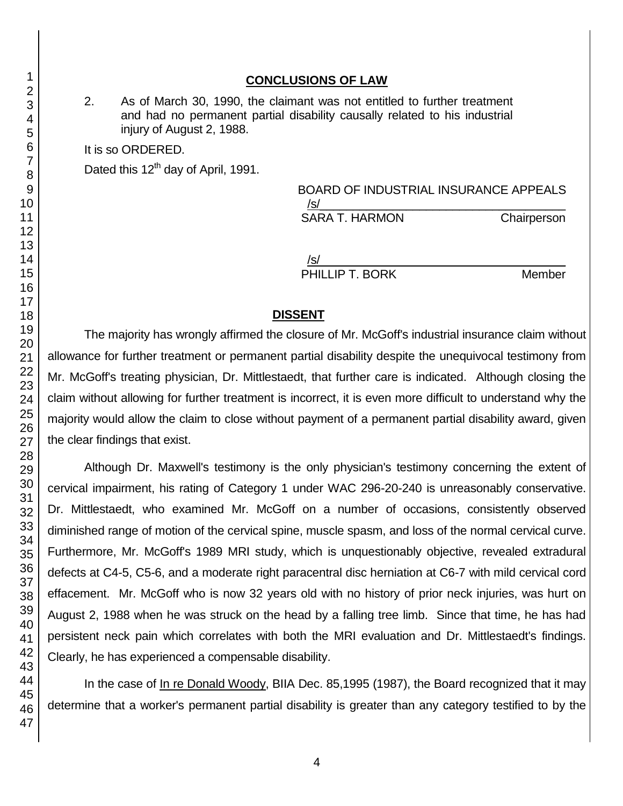## **CONCLUSIONS OF LAW**

2. As of March 30, 1990, the claimant was not entitled to further treatment and had no permanent partial disability causally related to his industrial injury of August 2, 1988.

It is so ORDERED.

Dated this 12<sup>th</sup> day of April, 1991.

# BOARD OF INDUSTRIAL INSURANCE APPEALS /s/\_\_\_\_\_\_\_\_\_\_\_\_\_\_\_\_\_\_\_\_\_\_\_\_\_\_\_\_\_\_\_\_\_\_\_\_\_

SARA T. HARMON Chairperson

/s/\_\_\_\_\_\_\_\_\_\_\_\_\_\_\_\_\_\_\_\_\_\_\_\_\_\_\_\_\_\_\_\_\_\_\_\_\_

PHILLIP T. BORK Member

## **DISSENT**

The majority has wrongly affirmed the closure of Mr. McGoff's industrial insurance claim without allowance for further treatment or permanent partial disability despite the unequivocal testimony from Mr. McGoff's treating physician, Dr. Mittlestaedt, that further care is indicated. Although closing the claim without allowing for further treatment is incorrect, it is even more difficult to understand why the majority would allow the claim to close without payment of a permanent partial disability award, given the clear findings that exist.

Although Dr. Maxwell's testimony is the only physician's testimony concerning the extent of cervical impairment, his rating of Category 1 under WAC 296-20-240 is unreasonably conservative. Dr. Mittlestaedt, who examined Mr. McGoff on a number of occasions, consistently observed diminished range of motion of the cervical spine, muscle spasm, and loss of the normal cervical curve. Furthermore, Mr. McGoff's 1989 MRI study, which is unquestionably objective, revealed extradural defects at C4-5, C5-6, and a moderate right paracentral disc herniation at C6-7 with mild cervical cord effacement. Mr. McGoff who is now 32 years old with no history of prior neck injuries, was hurt on August 2, 1988 when he was struck on the head by a falling tree limb. Since that time, he has had persistent neck pain which correlates with both the MRI evaluation and Dr. Mittlestaedt's findings. Clearly, he has experienced a compensable disability.

In the case of In re Donald Woody, BIIA Dec. 85,1995 (1987), the Board recognized that it may determine that a worker's permanent partial disability is greater than any category testified to by the